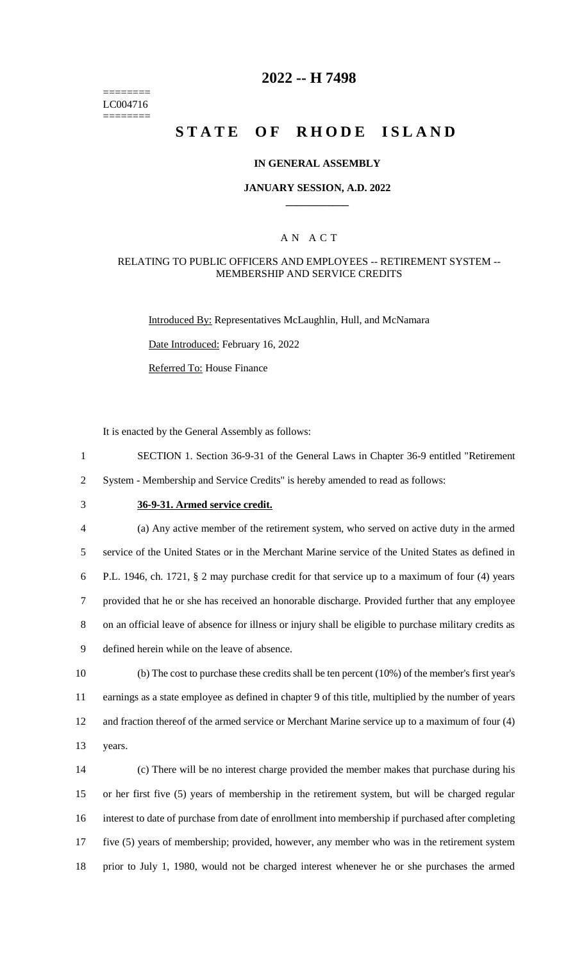======== LC004716 ========

## **2022 -- H 7498**

# **STATE OF RHODE ISLAND**

### **IN GENERAL ASSEMBLY**

### **JANUARY SESSION, A.D. 2022 \_\_\_\_\_\_\_\_\_\_\_\_**

### A N A C T

### RELATING TO PUBLIC OFFICERS AND EMPLOYEES -- RETIREMENT SYSTEM -- MEMBERSHIP AND SERVICE CREDITS

Introduced By: Representatives McLaughlin, Hull, and McNamara

Date Introduced: February 16, 2022

Referred To: House Finance

It is enacted by the General Assembly as follows:

1 SECTION 1. Section 36-9-31 of the General Laws in Chapter 36-9 entitled "Retirement

2 System - Membership and Service Credits" is hereby amended to read as follows:

## 3 **36-9-31. Armed service credit.**

 (a) Any active member of the retirement system, who served on active duty in the armed service of the United States or in the Merchant Marine service of the United States as defined in P.L. 1946, ch. 1721, § 2 may purchase credit for that service up to a maximum of four (4) years provided that he or she has received an honorable discharge. Provided further that any employee on an official leave of absence for illness or injury shall be eligible to purchase military credits as defined herein while on the leave of absence.

 (b) The cost to purchase these credits shall be ten percent (10%) of the member's first year's earnings as a state employee as defined in chapter 9 of this title, multiplied by the number of years and fraction thereof of the armed service or Merchant Marine service up to a maximum of four (4) 13 years.

 (c) There will be no interest charge provided the member makes that purchase during his or her first five (5) years of membership in the retirement system, but will be charged regular interest to date of purchase from date of enrollment into membership if purchased after completing five (5) years of membership; provided, however, any member who was in the retirement system prior to July 1, 1980, would not be charged interest whenever he or she purchases the armed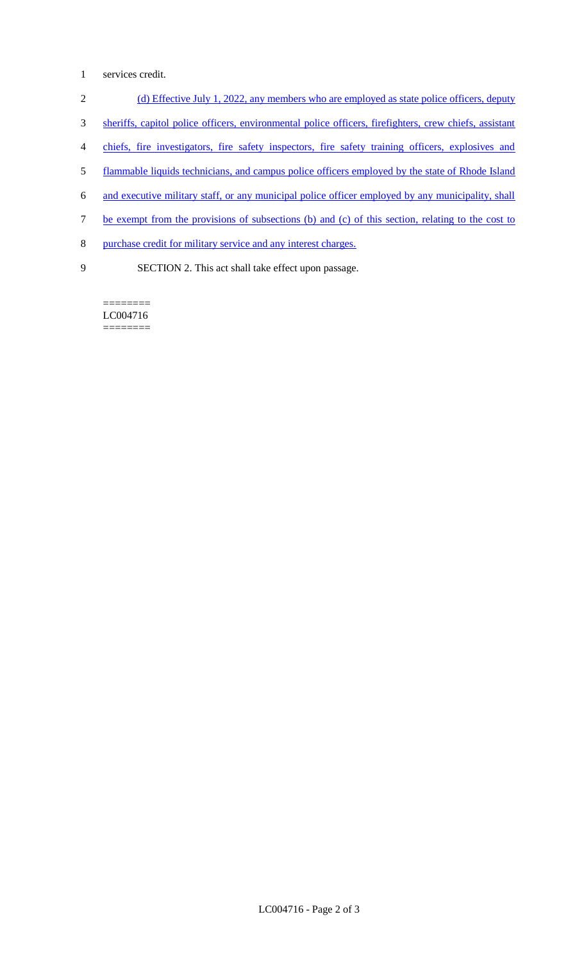- 1 services credit.
- 2 (d) Effective July 1, 2022, any members who are employed as state police officers, deputy
- 3 sheriffs, capitol police officers, environmental police officers, firefighters, crew chiefs, assistant
- 4 chiefs, fire investigators, fire safety inspectors, fire safety training officers, explosives and
- 5 flammable liquids technicians, and campus police officers employed by the state of Rhode Island
- 6 and executive military staff, or any municipal police officer employed by any municipality, shall
- 7 be exempt from the provisions of subsections (b) and (c) of this section, relating to the cost to
- 8 purchase credit for military service and any interest charges.
- 
- 9 SECTION 2. This act shall take effect upon passage.

======== LC004716 ========